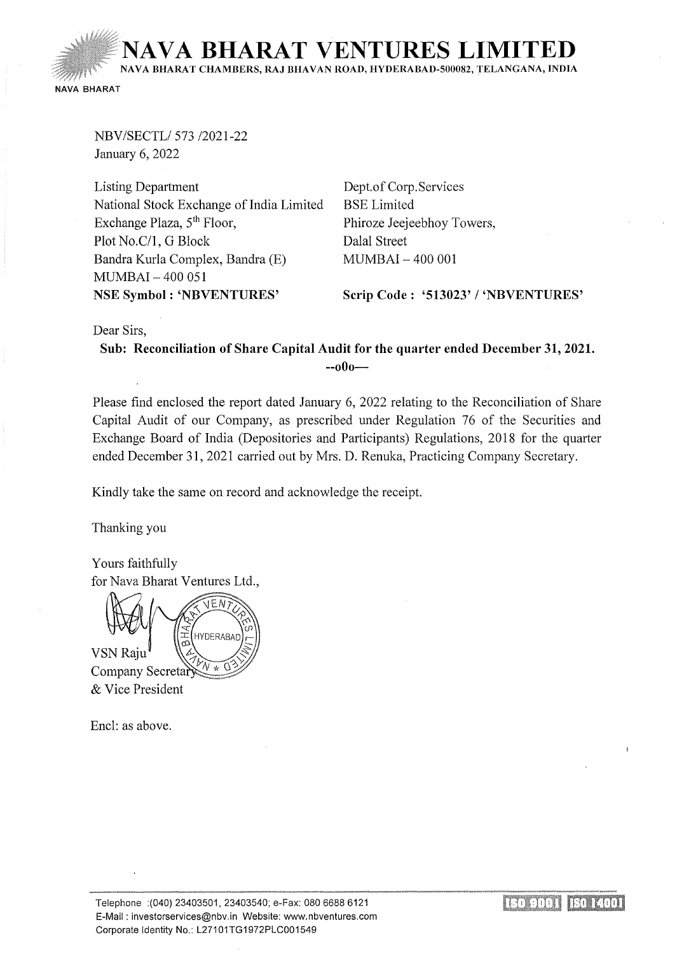**NAVA BHARAT VENTURES LIMIT** NA VA BIIARAT CHAMBERS, RAJ BHA VAN ROAD, HYDERABAD-500082, TELANGANA, INDIA

NAVA BHARAT

NBV/SECTL/573 /2021-22 January 6, 2022

Listing Department National Stock Exchange of India Limited Exchange Plaza,  $5<sup>th</sup>$  Floor, Plot No.C/1, G Block Bandra Kurla Complex, Bandra (E) MUMBAI- 400 051 NSE Symbol : 'NBVENTURES'

Dept.of Corp. Services BSE Limited Phiroze Jeejeebhoy Towers, Dalal Street MUMBAI - 400 001

Scrip Code: '513023' I 'NBVENTURES'

Dear Sirs,

Sub: Reconciliation of Share Capital Audit for the quarter ended December 31, 2021.  $-000-$ 

Please find enclosed the report dated January 6, 2022 relating to the Reconciliation of Share Capital Audit of our Company, as prescribed under Regulation 76 of the Securities and Exchange Board of India (Depositories and Participants) Regulations, 2018 for the quarter ended December 31, 2021 carried out by Mrs. D. Renuka, Practicing Company Secretary.

Kindly take the same on record and acknowledge the receipt.

Thanking you

Yours faithfully for Nava Bharat Ventures Ltd.,

EN  $V$ SN Raju **HYDERABAD** 

Company Secreta & Vice President

Encl: as above.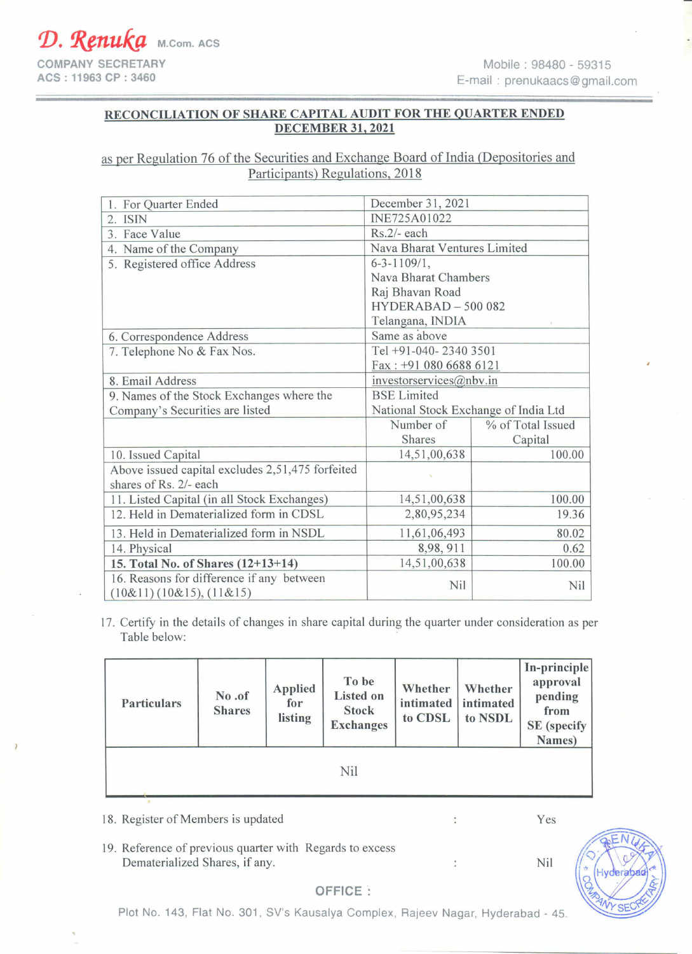## RECONCILIATION OF SHARE CAPITAL AUDIT FOR THE QUARTER ENDED DECEMBER 31,2021

## as per Regulation 76 of the Securities and Exchange Board of India (Depositories and Participants) Regulations, 2018

| 1. For Quarter Ended                                                 | December 31, 2021                    |                   |  |
|----------------------------------------------------------------------|--------------------------------------|-------------------|--|
| $2.$ ISIN                                                            | INE725A01022                         |                   |  |
| 3. Face Value                                                        | Rs.2/- each                          |                   |  |
| 4. Name of the Company                                               | Nava Bharat Ventures Limited         |                   |  |
| 5. Registered office Address                                         | $6 - 3 - 1109/1,$                    |                   |  |
|                                                                      | Nava Bharat Chambers                 |                   |  |
|                                                                      | Raj Bhavan Road                      |                   |  |
|                                                                      | $HYDERABAD - 500082$                 |                   |  |
|                                                                      | Telangana, INDIA                     |                   |  |
| 6. Correspondence Address                                            | Same as above                        |                   |  |
| 7. Telephone No & Fax Nos.                                           | Tel +91-040-2340 3501                |                   |  |
|                                                                      | Fax: +91 080 6688 6121               |                   |  |
| 8. Email Address                                                     | investorservices@nbv.in              |                   |  |
| 9. Names of the Stock Exchanges where the                            | <b>BSE</b> Limited                   |                   |  |
| Company's Securities are listed                                      | National Stock Exchange of India Ltd |                   |  |
|                                                                      | Number of                            | % of Total Issued |  |
|                                                                      | <b>Shares</b>                        | Capital           |  |
| 10. Issued Capital                                                   | 14,51,00,638                         | 100.00            |  |
| Above issued capital excludes 2,51,475 forfeited                     |                                      |                   |  |
| shares of Rs. 2/- each                                               |                                      |                   |  |
| 11. Listed Capital (in all Stock Exchanges)                          | 14,51,00,638                         | 100.00            |  |
| 12. Held in Dematerialized form in CDSL                              | 2,80,95,234                          | 19.36             |  |
| 13. Held in Dematerialized form in NSDL                              | 11,61,06,493                         | 80.02             |  |
| 14. Physical                                                         | 8,98,911                             | 0.62              |  |
| 15. Total No. of Shares (12+13+14)                                   | 14,51,00,638                         | 100.00            |  |
| 16. Reasons for difference if any between<br>(10&11)(10&15), (11&15) | Nil                                  | Nil               |  |

17. Certify in the details of changes in share capital during the quarter under consideration as per Table below:

| <b>Particulars</b> | No.of<br><b>Shares</b> | <b>Applied</b><br>for<br>listing | To be<br><b>Listed on</b><br><b>Stock</b><br><b>Exchanges</b> | Whether<br>intimated<br>to CDSL | Whether<br>intimated<br>to NSDL | In-principle<br>approval<br>pending<br>from<br><b>SE</b> (specify<br>Names) |
|--------------------|------------------------|----------------------------------|---------------------------------------------------------------|---------------------------------|---------------------------------|-----------------------------------------------------------------------------|
|                    |                        |                                  | Nil                                                           |                                 |                                 |                                                                             |

18. Register of Members is updated

 $\overline{ }$ 

Yes

Nil

19. Reference of previous quarter with Regards to excess Dematerialized Shares, if any.



 $\overline{\phantom{a}}$ 



OFFICE: